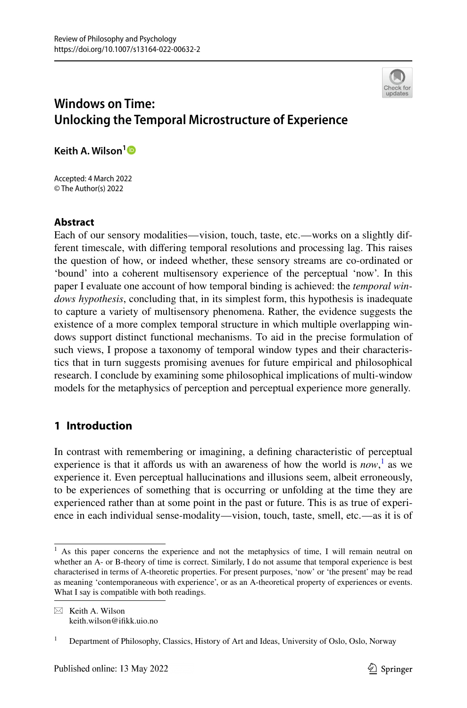

# **Windows on Time: Unlocking the Temporal Microstructure of Experience**

**Keith A. Wilson[1](http://orcid.org/0000-0003-3940-8567)**

Accepted: 4 March 2022 © The Author(s) 2022

# **Abstract**

Each of our sensory modalities—vision, touch, taste, etc.—works on a slightly different timescale, with difering temporal resolutions and processing lag. This raises the question of how, or indeed whether, these sensory streams are co-ordinated or 'bound' into a coherent multisensory experience of the perceptual 'now'. In this paper I evaluate one account of how temporal binding is achieved: the *temporal windows hypothesis*, concluding that, in its simplest form, this hypothesis is inadequate to capture a variety of multisensory phenomena. Rather, the evidence suggests the existence of a more complex temporal structure in which multiple overlapping windows support distinct functional mechanisms. To aid in the precise formulation of such views, I propose a taxonomy of temporal window types and their characteristics that in turn suggests promising avenues for future empirical and philosophical research. I conclude by examining some philosophical implications of multi-window models for the metaphysics of perception and perceptual experience more generally.

# **1 Introduction**

In contrast with remembering or imagining, a defning characteristic of perceptual experience is that it affords us with an awareness of how the world is  $now, \cdot$  as we experience it. Even perceptual hallucinations and illusions seem, albeit erroneously, to be experiences of something that is occurring or unfolding at the time they are experienced rather than at some point in the past or future. This is as true of experience in each individual sense-modality—vision, touch, taste, smell, etc.—as it is of

<span id="page-0-0"></span><sup>&</sup>lt;sup>1</sup> As this paper concerns the experience and not the metaphysics of time, I will remain neutral on whether an A- or B-theory of time is correct. Similarly, I do not assume that temporal experience is best characterised in terms of A-theoretic properties. For present purposes, 'now' or 'the present' may be read as meaning 'contemporaneous with experience', or as an A-theoretical property of experiences or events. What I say is compatible with both readings.

 $\boxtimes$  Keith A. Wilson keith.wilson@ifkk.uio.no

<sup>&</sup>lt;sup>1</sup> Department of Philosophy, Classics, History of Art and Ideas, University of Oslo, Oslo, Norway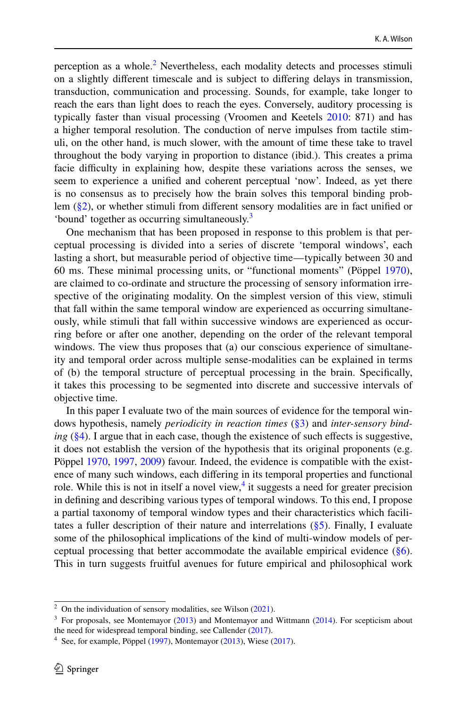perception as a whole. $2$  Nevertheless, each modality detects and processes stimuli on a slightly diferent timescale and is subject to difering delays in transmission, transduction, communication and processing. Sounds, for example, take longer to reach the ears than light does to reach the eyes. Conversely, auditory processing is typically faster than visual processing (Vroomen and Keetels [2010:](#page-21-0) 871) and has a higher temporal resolution. The conduction of nerve impulses from tactile stimuli, on the other hand, is much slower, with the amount of time these take to travel throughout the body varying in proportion to distance (ibid.). This creates a prima facie difculty in explaining how, despite these variations across the senses, we seem to experience a unifed and coherent perceptual 'now'. Indeed, as yet there is no consensus as to precisely how the brain solves this temporal binding problem [\(§2](#page-2-0)), or whether stimuli from diferent sensory modalities are in fact unifed or 'bound' together as occurring simultaneously.[3](#page-1-1)

One mechanism that has been proposed in response to this problem is that perceptual processing is divided into a series of discrete 'temporal windows', each lasting a short, but measurable period of objective time—typically between 30 and 60 ms. These minimal processing units, or "functional moments" (Pöppel [1970](#page-21-1)), are claimed to co-ordinate and structure the processing of sensory information irrespective of the originating modality. On the simplest version of this view, stimuli that fall within the same temporal window are experienced as occurring simultaneously, while stimuli that fall within successive windows are experienced as occurring before or after one another, depending on the order of the relevant temporal windows. The view thus proposes that (a) our conscious experience of simultaneity and temporal order across multiple sense-modalities can be explained in terms of (b) the temporal structure of perceptual processing in the brain. Specifcally, it takes this processing to be segmented into discrete and successive intervals of objective time.

In this paper I evaluate two of the main sources of evidence for the temporal windows hypothesis, namely *periodicity in reaction times* [\(§3](#page-5-0)) and *inter-sensory binding* ([§4\)](#page-8-0). I argue that in each case, though the existence of such effects is suggestive, it does not establish the version of the hypothesis that its original proponents (e.g. Pöppel [1970](#page-21-1), [1997,](#page-21-2) [2009](#page-21-3)) favour. Indeed, the evidence is compatible with the existence of many such windows, each difering in its temporal properties and functional role. While this is not in itself a novel view,<sup>[4](#page-1-2)</sup> it suggests a need for greater precision in defning and describing various types of temporal windows. To this end, I propose a partial taxonomy of temporal window types and their characteristics which facilitates a fuller description of their nature and interrelations  $(\S 5)$ . Finally, I evaluate some of the philosophical implications of the kind of multi-window models of perceptual processing that better accommodate the available empirical evidence  $(\S6)$ . This in turn suggests fruitful avenues for future empirical and philosophical work

<span id="page-1-0"></span><sup>&</sup>lt;sup>2</sup> On the individuation of sensory modalities, see Wilson ([2021\)](#page-21-5).

<span id="page-1-1"></span> $3$  For proposals, see Montemayor [\(2013](#page-20-0)) and Montemayor and Wittmann ([2014\)](#page-20-1). For scepticism about the need for widespread temporal binding, see Callender [\(2017](#page-20-2)).

<span id="page-1-2"></span> $4\,$  See, for example, Pöppel [\(1997](#page-21-2)), Montemayor [\(2013](#page-20-0)), Wiese ([2017\)](#page-21-4).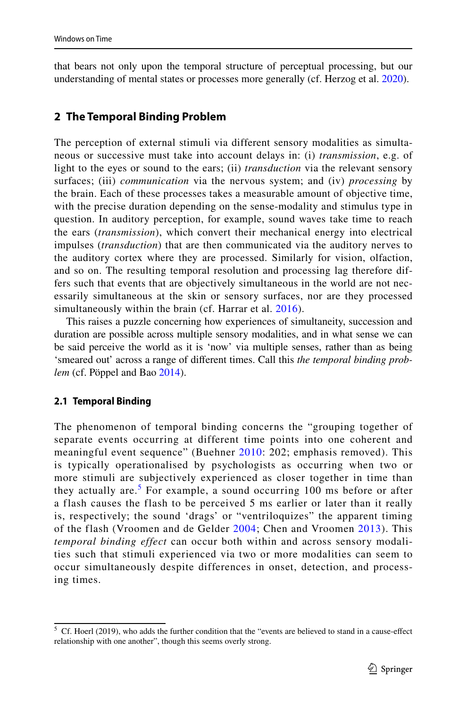that bears not only upon the temporal structure of perceptual processing, but our understanding of mental states or processes more generally (cf. Herzog et al. [2020](#page-20-3)).

# <span id="page-2-0"></span>**2 The Temporal Binding Problem**

The perception of external stimuli via different sensory modalities as simultaneous or successive must take into account delays in: (i) *transmission*, e.g. of light to the eyes or sound to the ears; (ii) *transduction* via the relevant sensory surfaces; (iii) *communication* via the nervous system; and (iv) *processing* by the brain. Each of these processes takes a measurable amount of objective time, with the precise duration depending on the sense-modality and stimulus type in question. In auditory perception, for example, sound waves take time to reach the ears (*transmission*), which convert their mechanical energy into electrical impulses (*transduction*) that are then communicated via the auditory nerves to the auditory cortex where they are processed. Similarly for vision, olfaction, and so on. The resulting temporal resolution and processing lag therefore differs such that events that are objectively simultaneous in the world are not necessarily simultaneous at the skin or sensory surfaces, nor are they processed simultaneously within the brain (cf. Harrar et al. [2016](#page-20-4)).

This raises a puzzle concerning how experiences of simultaneity, succession and duration are possible across multiple sensory modalities, and in what sense we can be said perceive the world as it is 'now' via multiple senses, rather than as being 'smeared out' across a range of diferent times. Call this *the temporal binding problem* (cf. Pöppel and Bao [2014\)](#page-21-6).

# **2.1 Temporal Binding**

The phenomenon of temporal binding concerns the "grouping together of separate events occurring at different time points into one coherent and meaningful event sequence" (Buehner [2010:](#page-19-0) 202; emphasis removed). This is typically operationalised by psychologists as occurring when two or more stimuli are subjectively experienced as closer together in time than they actually are.<sup>[5](#page-2-1)</sup> For example, a sound occurring 100 ms before or after a flash causes the flash to be perceived 5 ms earlier or later than it really is, respectively; the sound 'drags' or "ventriloquizes" the apparent timing of the flash (Vroomen and de Gelder [2004;](#page-21-7) Chen and Vroomen [2013](#page-20-5)). This *temporal binding effect* can occur both within and across sensory modalities such that stimuli experienced via two or more modalities can seem to occur simultaneously despite differences in onset, detection, and processing times.

<span id="page-2-1"></span> $5$  Cf. Hoerl (2019), who adds the further condition that the "events are believed to stand in a cause-effect relationship with one another", though this seems overly strong.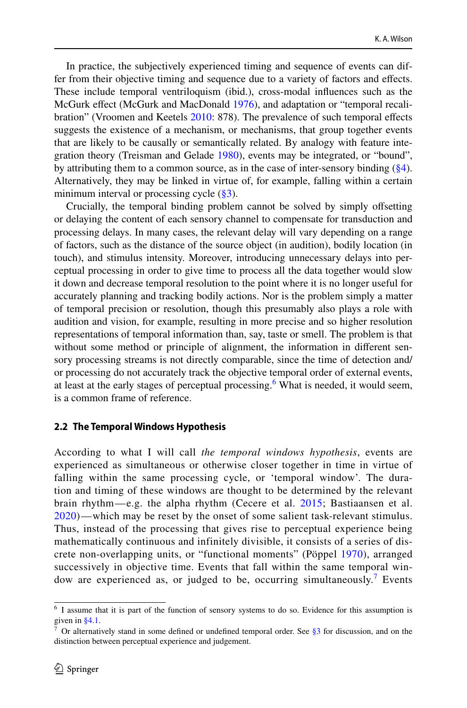In practice, the subjectively experienced timing and sequence of events can differ from their objective timing and sequence due to a variety of factors and efects. These include temporal ventriloquism (ibid.), cross-modal infuences such as the McGurk efect (McGurk and MacDonald [1976](#page-20-6)), and adaptation or "temporal recali-bration" (Vroomen and Keetels [2010](#page-21-0): 878). The prevalence of such temporal effects suggests the existence of a mechanism, or mechanisms, that group together events that are likely to be causally or semantically related. By analogy with feature integration theory (Treisman and Gelade [1980\)](#page-21-8), events may be integrated, or "bound", by attributing them to a common source, as in the case of inter-sensory binding ([§4\)](#page-8-0). Alternatively, they may be linked in virtue of, for example, falling within a certain minimum interval or processing cycle  $(\frac{83}{3})$ .

Crucially, the temporal binding problem cannot be solved by simply ofsetting or delaying the content of each sensory channel to compensate for transduction and processing delays. In many cases, the relevant delay will vary depending on a range of factors, such as the distance of the source object (in audition), bodily location (in touch), and stimulus intensity. Moreover, introducing unnecessary delays into perceptual processing in order to give time to process all the data together would slow it down and decrease temporal resolution to the point where it is no longer useful for accurately planning and tracking bodily actions. Nor is the problem simply a matter of temporal precision or resolution, though this presumably also plays a role with audition and vision, for example, resulting in more precise and so higher resolution representations of temporal information than, say, taste or smell. The problem is that without some method or principle of alignment, the information in diferent sensory processing streams is not directly comparable, since the time of detection and/ or processing do not accurately track the objective temporal order of external events, at least at the early stages of perceptual processing.<sup>[6](#page-3-0)</sup> What is needed, it would seem, is a common frame of reference.

#### **2.2 The Temporal Windows Hypothesis**

According to what I will call *the temporal windows hypothesis*, events are experienced as simultaneous or otherwise closer together in time in virtue of falling within the same processing cycle, or 'temporal window'. The duration and timing of these windows are thought to be determined by the relevant brain rhythm—e.g. the alpha rhythm (Cecere et al. [2015;](#page-20-7) Bastiaansen et al. [2020](#page-19-1))—which may be reset by the onset of some salient task-relevant stimulus. Thus, instead of the processing that gives rise to perceptual experience being mathematically continuous and infinitely divisible, it consists of a series of discrete non-overlapping units, or "functional moments" (Pöppel [1970\)](#page-21-1), arranged successively in objective time. Events that fall within the same temporal win-dow are experienced as, or judged to be, occurring simultaneously.<sup>[7](#page-3-1)</sup> Events

<span id="page-3-0"></span><sup>6</sup> I assume that it is part of the function of sensory systems to do so. Evidence for this assumption is given in [§4.1.](#page-9-0)

<span id="page-3-1"></span><sup>&</sup>lt;sup>7</sup> Or alternatively stand in some defined or undefined temporal order. See [§3](#page-5-0) for discussion, and on the distinction between perceptual experience and judgement.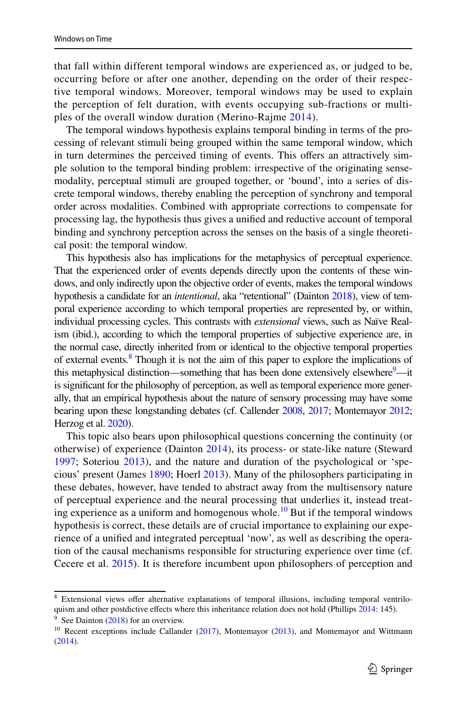that fall within different temporal windows are experienced as, or judged to be, occurring before or after one another, depending on the order of their respective temporal windows. Moreover, temporal windows may be used to explain the perception of felt duration, with events occupying sub-fractions or multiples of the overall window duration (Merino-Rajme [2014\)](#page-20-8).

The temporal windows hypothesis explains temporal binding in terms of the processing of relevant stimuli being grouped within the same temporal window, which in turn determines the perceived timing of events. This offers an attractively simple solution to the temporal binding problem: irrespective of the originating sensemodality, perceptual stimuli are grouped together, or 'bound', into a series of discrete temporal windows, thereby enabling the perception of synchrony and temporal order across modalities. Combined with appropriate corrections to compensate for processing lag, the hypothesis thus gives a unifed and reductive account of temporal binding and synchrony perception across the senses on the basis of a single theoretical posit: the temporal window.

This hypothesis also has implications for the metaphysics of perceptual experience. That the experienced order of events depends directly upon the contents of these windows, and only indirectly upon the objective order of events, makes the temporal windows hypothesis a candidate for an *intentional*, aka "retentional" (Dainton [2018](#page-20-9)), view of temporal experience according to which temporal properties are represented by, or within, individual processing cycles. This contrasts with *extensional* views, such as Naïve Realism (ibid.), according to which the temporal properties of subjective experience are, in the normal case, directly inherited from or identical to the objective temporal properties of external events.<sup>8</sup> Though it is not the aim of this paper to explore the implications of this metaphysical distinction—something that has been done extensively elsewhere<sup>[9](#page-4-1)</sup>—it is signifcant for the philosophy of perception, as well as temporal experience more generally, that an empirical hypothesis about the nature of sensory processing may have some bearing upon these longstanding debates (cf. Callender [2008,](#page-20-10) [2017](#page-20-2); Montemayor [2012;](#page-20-11) Herzog et al. [2020](#page-20-3)).

This topic also bears upon philosophical questions concerning the continuity (or otherwise) of experience (Dainton [2014](#page-20-12)), its process- or state-like nature (Steward [1997](#page-21-9); Soteriou [2013\)](#page-21-10), and the nature and duration of the psychological or 'specious' present (James [1890;](#page-20-13) Hoerl [2013\)](#page-20-14). Many of the philosophers participating in these debates, however, have tended to abstract away from the multisensory nature of perceptual experience and the neural processing that underlies it, instead treating experience as a uniform and homogenous whole.<sup>10</sup> But if the temporal windows hypothesis is correct, these details are of crucial importance to explaining our experience of a unifed and integrated perceptual 'now', as well as describing the operation of the causal mechanisms responsible for structuring experience over time (cf. Cecere et al. [2015\)](#page-20-7). It is therefore incumbent upon philosophers of perception and

<span id="page-4-0"></span><sup>&</sup>lt;sup>8</sup> Extensional views offer alternative explanations of temporal illusions, including temporal ventrilo-quism and other postdictive effects where this inheritance relation does not hold (Phillips [2014:](#page-21-11) 145).  $9$  See Dainton ([2018\)](#page-20-9) for an overview.

<span id="page-4-2"></span><span id="page-4-1"></span><sup>&</sup>lt;sup>10</sup> Recent exceptions include Callander [\(2017](#page-20-2)), Montemayor [\(2013](#page-20-0)), and Montemayor and Wittmann ([2014\)](#page-20-1).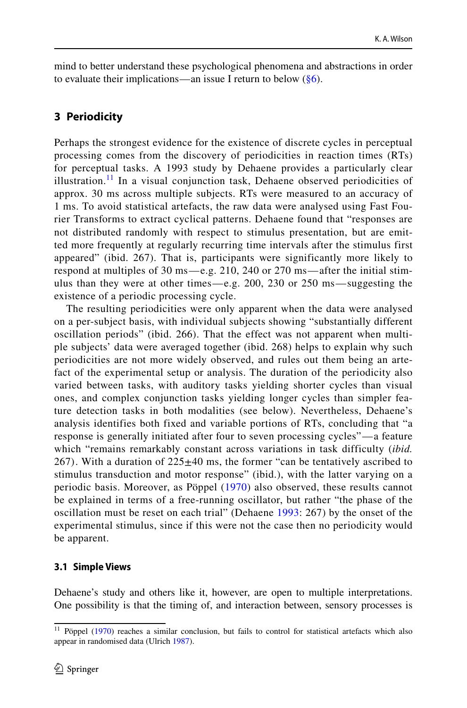mind to better understand these psychological phenomena and abstractions in order to evaluate their implications—an issue I return to below  $(\frac{8}{6})$ .

# <span id="page-5-0"></span>**3 Periodicity**

Perhaps the strongest evidence for the existence of discrete cycles in perceptual processing comes from the discovery of periodicities in reaction times (RTs) for perceptual tasks. A 1993 study by Dehaene provides a particularly clear illustration.<sup>[11](#page-5-1)</sup> In a visual conjunction task, Dehaene observed periodicities of approx. 30 ms across multiple subjects. RTs were measured to an accuracy of 1 ms. To avoid statistical artefacts, the raw data were analysed using Fast Fourier Transforms to extract cyclical patterns. Dehaene found that "responses are not distributed randomly with respect to stimulus presentation, but are emitted more frequently at regularly recurring time intervals after the stimulus first appeared" (ibid. 267). That is, participants were significantly more likely to respond at multiples of 30 ms—e.g. 210, 240 or 270 ms—after the initial stimulus than they were at other times—e.g. 200, 230 or 250 ms—suggesting the existence of a periodic processing cycle.

The resulting periodicities were only apparent when the data were analysed on a per-subject basis, with individual subjects showing "substantially different oscillation periods" (ibid. 266). That the effect was not apparent when multiple subjects' data were averaged together (ibid. 268) helps to explain why such periodicities are not more widely observed, and rules out them being an artefact of the experimental setup or analysis. The duration of the periodicity also varied between tasks, with auditory tasks yielding shorter cycles than visual ones, and complex conjunction tasks yielding longer cycles than simpler feature detection tasks in both modalities (see below). Nevertheless, Dehaene's analysis identifies both fixed and variable portions of RTs, concluding that "a response is generally initiated after four to seven processing cycles"—a feature which "remains remarkably constant across variations in task difficulty *(ibid.*) 267). With a duration of  $225\pm40$  ms, the former "can be tentatively ascribed to stimulus transduction and motor response" (ibid.), with the latter varying on a periodic basis. Moreover, as Pöppel ([1970\)](#page-21-1) also observed, these results cannot be explained in terms of a free-running oscillator, but rather "the phase of the oscillation must be reset on each trial" (Dehaene [1993:](#page-20-15) 267) by the onset of the experimental stimulus, since if this were not the case then no periodicity would be apparent.

### **3.1 Simple Views**

Dehaene's study and others like it, however, are open to multiple interpretations. One possibility is that the timing of, and interaction between, sensory processes is

<span id="page-5-1"></span><sup>&</sup>lt;sup>11</sup> Pöppel ([1970\)](#page-21-1) reaches a similar conclusion, but fails to control for statistical artefacts which also appear in randomised data (Ulrich [1987](#page-21-12)).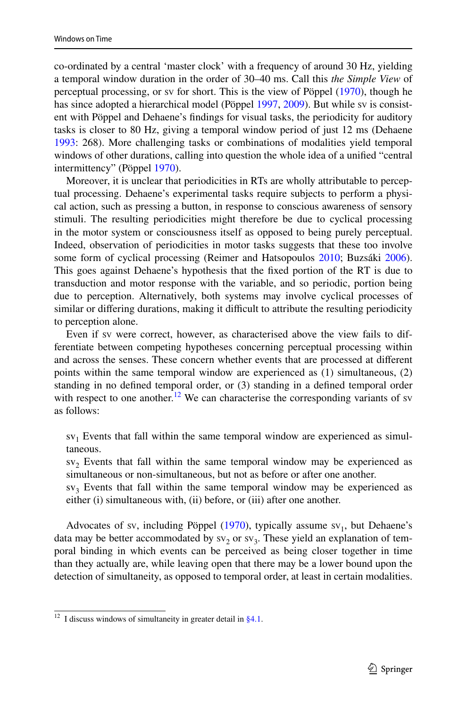co-ordinated by a central 'master clock' with a frequency of around 30 Hz, yielding a temporal window duration in the order of 30–40 ms. Call this *the Simple View* of perceptual processing, or sv for short. This is the view of Pöppel [\(1970](#page-21-1)), though he has since adopted a hierarchical model (Pöppel [1997,](#page-21-2) [2009\)](#page-21-3). But while sv is consistent with Pöppel and Dehaene's fndings for visual tasks, the periodicity for auditory tasks is closer to 80 Hz, giving a temporal window period of just 12 ms (Dehaene [1993](#page-20-15): 268). More challenging tasks or combinations of modalities yield temporal windows of other durations, calling into question the whole idea of a unifed "central intermittency" (Pöppel [1970\)](#page-21-1).

Moreover, it is unclear that periodicities in RTs are wholly attributable to perceptual processing. Dehaene's experimental tasks require subjects to perform a physical action, such as pressing a button, in response to conscious awareness of sensory stimuli. The resulting periodicities might therefore be due to cyclical processing in the motor system or consciousness itself as opposed to being purely perceptual. Indeed, observation of periodicities in motor tasks suggests that these too involve some form of cyclical processing (Reimer and Hatsopoulos [2010](#page-21-13); Buzsáki [2006\)](#page-19-2). This goes against Dehaene's hypothesis that the fxed portion of the RT is due to transduction and motor response with the variable, and so periodic, portion being due to perception. Alternatively, both systems may involve cyclical processes of similar or differing durations, making it difficult to attribute the resulting periodicity to perception alone.

Even if sv were correct, however, as characterised above the view fails to differentiate between competing hypotheses concerning perceptual processing within and across the senses. These concern whether events that are processed at diferent points within the same temporal window are experienced as (1) simultaneous, (2) standing in no defned temporal order, or (3) standing in a defned temporal order with respect to one another.<sup>12</sup> We can characterise the corresponding variants of sv as follows:

 $sv_1$  Events that fall within the same temporal window are experienced as simultaneous.

 $sv<sub>2</sub>$  Events that fall within the same temporal window may be experienced as simultaneous or non-simultaneous, but not as before or after one another.

 $s_{\rm v_3}$  Events that fall within the same temporal window may be experienced as either (i) simultaneous with, (ii) before, or (iii) after one another.

Advocates of sv, including Pöppel  $(1970)$  $(1970)$ , typically assume sv<sub>1</sub>, but Dehaene's data may be better accommodated by  $sv_2$  or  $sv_3$ . These yield an explanation of temporal binding in which events can be perceived as being closer together in time than they actually are, while leaving open that there may be a lower bound upon the detection of simultaneity, as opposed to temporal order, at least in certain modalities.

<span id="page-6-0"></span> $\frac{12}{12}$  I discuss windows of simultaneity in greater detail in [§4.1.](#page-9-0)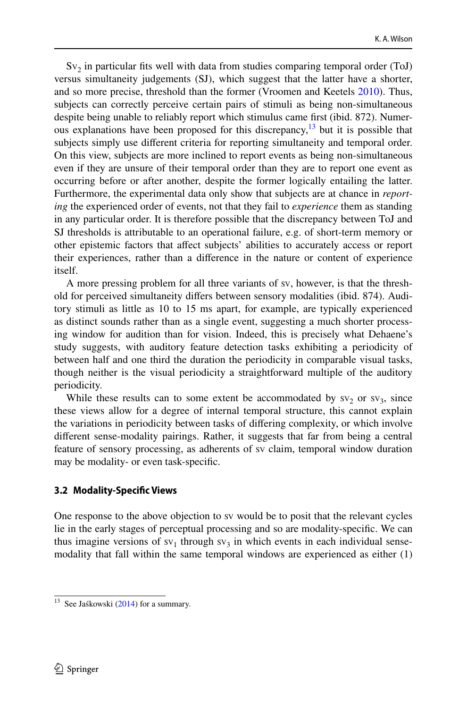$Sv<sub>2</sub>$  in particular fits well with data from studies comparing temporal order (ToJ) versus simultaneity judgements (SJ), which suggest that the latter have a shorter, and so more precise, threshold than the former (Vroomen and Keetels [2010](#page-21-0)). Thus, subjects can correctly perceive certain pairs of stimuli as being non-simultaneous despite being unable to reliably report which stimulus came frst (ibid. 872). Numer-ous explanations have been proposed for this discrepancy,<sup>[13](#page-7-0)</sup> but it is possible that subjects simply use diferent criteria for reporting simultaneity and temporal order. On this view, subjects are more inclined to report events as being non-simultaneous even if they are unsure of their temporal order than they are to report one event as occurring before or after another, despite the former logically entailing the latter. Furthermore, the experimental data only show that subjects are at chance in *reporting* the experienced order of events, not that they fail to *experience* them as standing in any particular order. It is therefore possible that the discrepancy between ToJ and SJ thresholds is attributable to an operational failure, e.g. of short-term memory or other epistemic factors that afect subjects' abilities to accurately access or report their experiences, rather than a diference in the nature or content of experience itself.

A more pressing problem for all three variants of sv, however, is that the threshold for perceived simultaneity difers between sensory modalities (ibid. 874). Auditory stimuli as little as 10 to 15 ms apart, for example, are typically experienced as distinct sounds rather than as a single event, suggesting a much shorter processing window for audition than for vision. Indeed, this is precisely what Dehaene's study suggests, with auditory feature detection tasks exhibiting a periodicity of between half and one third the duration the periodicity in comparable visual tasks, though neither is the visual periodicity a straightforward multiple of the auditory periodicity.

While these results can to some extent be accommodated by  $sv_2$  or  $sv_3$ , since these views allow for a degree of internal temporal structure, this cannot explain the variations in periodicity between tasks of difering complexity, or which involve diferent sense-modality pairings. Rather, it suggests that far from being a central feature of sensory processing, as adherents of sv claim, temporal window duration may be modality- or even task-specifc.

#### **3.2 Modality‑Specifc Views**

One response to the above objection to sv would be to posit that the relevant cycles lie in the early stages of perceptual processing and so are modality-specifc. We can thus imagine versions of  $sv_1$  through  $sv_3$  in which events in each individual sensemodality that fall within the same temporal windows are experienced as either (1)

<span id="page-7-0"></span><sup>&</sup>lt;sup>13</sup> See Jaśkowski [\(2014](#page-20-16)) for a summary.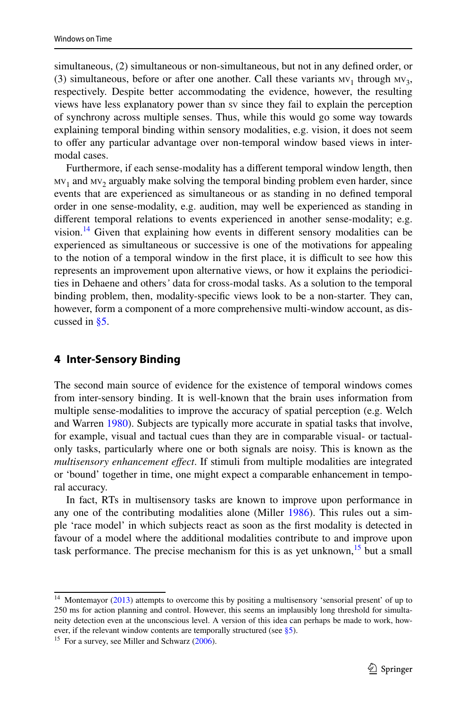simultaneous, (2) simultaneous or non-simultaneous, but not in any defned order, or (3) simultaneous, before or after one another. Call these variants  $MV_1$  through  $MV_3$ , respectively. Despite better accommodating the evidence, however, the resulting views have less explanatory power than sv since they fail to explain the perception of synchrony across multiple senses. Thus, while this would go some way towards explaining temporal binding within sensory modalities, e.g. vision, it does not seem to ofer any particular advantage over non-temporal window based views in intermodal cases.

Furthermore, if each sense-modality has a diferent temporal window length, then  $mv_1$  and  $mv_2$  arguably make solving the temporal binding problem even harder, since events that are experienced as simultaneous or as standing in no defned temporal order in one sense-modality, e.g. audition, may well be experienced as standing in diferent temporal relations to events experienced in another sense-modality; e.g. vision.<sup>14</sup> Given that explaining how events in different sensory modalities can be experienced as simultaneous or successive is one of the motivations for appealing to the notion of a temporal window in the first place, it is difficult to see how this represents an improvement upon alternative views, or how it explains the periodicities in Dehaene and others*'* data for cross-modal tasks. As a solution to the temporal binding problem, then, modality-specifc views look to be a non-starter. They can, however, form a component of a more comprehensive multi-window account, as discussed in [§5](#page-11-0).

### <span id="page-8-0"></span>**4 Inter‑Sensory Binding**

The second main source of evidence for the existence of temporal windows comes from inter-sensory binding. It is well-known that the brain uses information from multiple sense-modalities to improve the accuracy of spatial perception (e.g. Welch and Warren [1980](#page-21-14)). Subjects are typically more accurate in spatial tasks that involve, for example, visual and tactual cues than they are in comparable visual- or tactualonly tasks, particularly where one or both signals are noisy. This is known as the *multisensory enhancement efect*. If stimuli from multiple modalities are integrated or 'bound' together in time, one might expect a comparable enhancement in temporal accuracy.

In fact, RTs in multisensory tasks are known to improve upon performance in any one of the contributing modalities alone (Miller [1986](#page-20-17)). This rules out a simple 'race model' in which subjects react as soon as the frst modality is detected in favour of a model where the additional modalities contribute to and improve upon task performance. The precise mechanism for this is as yet unknown,<sup>[15](#page-8-2)</sup> but a small

<span id="page-8-1"></span><sup>&</sup>lt;sup>14</sup> Montemayor ([2013\)](#page-20-0) attempts to overcome this by positing a multisensory 'sensorial present' of up to 250 ms for action planning and control. However, this seems an implausibly long threshold for simultaneity detection even at the unconscious level. A version of this idea can perhaps be made to work, how-ever, if the relevant window contents are temporally structured (see [§5\)](#page-11-0).

<span id="page-8-2"></span> $15$  For a survey, see Miller and Schwarz ([2006\)](#page-20-18).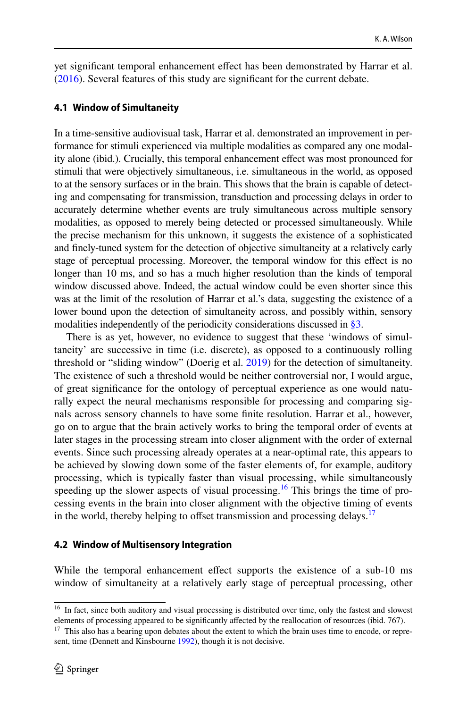yet signifcant temporal enhancement efect has been demonstrated by Harrar et al. [\(2016](#page-20-4)). Several features of this study are signifcant for the current debate.

#### <span id="page-9-0"></span>**4.1 Window of Simultaneity**

In a time-sensitive audiovisual task, Harrar et al. demonstrated an improvement in performance for stimuli experienced via multiple modalities as compared any one modality alone (ibid.). Crucially, this temporal enhancement efect was most pronounced for stimuli that were objectively simultaneous, i.e. simultaneous in the world, as opposed to at the sensory surfaces or in the brain. This shows that the brain is capable of detecting and compensating for transmission, transduction and processing delays in order to accurately determine whether events are truly simultaneous across multiple sensory modalities, as opposed to merely being detected or processed simultaneously. While the precise mechanism for this unknown, it suggests the existence of a sophisticated and fnely-tuned system for the detection of objective simultaneity at a relatively early stage of perceptual processing. Moreover, the temporal window for this efect is no longer than 10 ms, and so has a much higher resolution than the kinds of temporal window discussed above. Indeed, the actual window could be even shorter since this was at the limit of the resolution of Harrar et al.'s data, suggesting the existence of a lower bound upon the detection of simultaneity across, and possibly within, sensory modalities independently of the periodicity considerations discussed in [§3.](#page-5-0)

There is as yet, however, no evidence to suggest that these 'windows of simultaneity' are successive in time (i.e. discrete), as opposed to a continuously rolling threshold or "sliding window" (Doerig et al. [2019\)](#page-20-19) for the detection of simultaneity. The existence of such a threshold would be neither controversial nor, I would argue, of great signifcance for the ontology of perceptual experience as one would naturally expect the neural mechanisms responsible for processing and comparing signals across sensory channels to have some fnite resolution. Harrar et al., however, go on to argue that the brain actively works to bring the temporal order of events at later stages in the processing stream into closer alignment with the order of external events. Since such processing already operates at a near-optimal rate, this appears to be achieved by slowing down some of the faster elements of, for example, auditory processing, which is typically faster than visual processing, while simultaneously speeding up the slower aspects of visual processing.<sup>16</sup> This brings the time of processing events in the brain into closer alignment with the objective timing of events in the world, thereby helping to offset transmission and processing delays.<sup>[17](#page-9-2)</sup>

### <span id="page-9-3"></span>**4.2 Window of Multisensory Integration**

While the temporal enhancement effect supports the existence of a sub-10 ms window of simultaneity at a relatively early stage of perceptual processing, other

<span id="page-9-1"></span><sup>&</sup>lt;sup>16</sup> In fact, since both auditory and visual processing is distributed over time, only the fastest and slowest elements of processing appeared to be signifcantly afected by the reallocation of resources (ibid. 767).

<span id="page-9-2"></span> $17$  This also has a bearing upon debates about the extent to which the brain uses time to encode, or represent, time (Dennett and Kinsbourne [1992](#page-20-20)), though it is not decisive.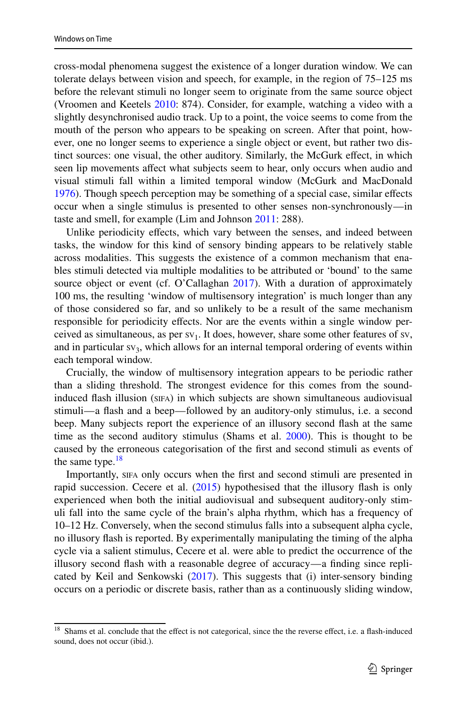cross-modal phenomena suggest the existence of a longer duration window. We can tolerate delays between vision and speech, for example, in the region of 75–125 ms before the relevant stimuli no longer seem to originate from the same source object (Vroomen and Keetels [2010](#page-21-0): 874). Consider, for example, watching a video with a slightly desynchronised audio track. Up to a point, the voice seems to come from the mouth of the person who appears to be speaking on screen. After that point, however, one no longer seems to experience a single object or event, but rather two distinct sources: one visual, the other auditory. Similarly, the McGurk efect, in which seen lip movements afect what subjects seem to hear, only occurs when audio and visual stimuli fall within a limited temporal window (McGurk and MacDonald [1976](#page-20-6)). Though speech perception may be something of a special case, similar effects occur when a single stimulus is presented to other senses non-synchronously—in taste and smell, for example (Lim and Johnson [2011:](#page-20-21) 288).

Unlike periodicity efects, which vary between the senses, and indeed between tasks, the window for this kind of sensory binding appears to be relatively stable across modalities. This suggests the existence of a common mechanism that enables stimuli detected via multiple modalities to be attributed or 'bound' to the same source object or event (cf. O'Callaghan [2017](#page-21-15)). With a duration of approximately 100 ms, the resulting 'window of multisensory integration' is much longer than any of those considered so far, and so unlikely to be a result of the same mechanism responsible for periodicity efects. Nor are the events within a single window perceived as simultaneous, as per  $sv_1$ . It does, however, share some other features of sv, and in particular  $sv_3$ , which allows for an internal temporal ordering of events within each temporal window.

Crucially, the window of multisensory integration appears to be periodic rather than a sliding threshold. The strongest evidence for this comes from the soundinduced fash illusion (sifa) in which subjects are shown simultaneous audiovisual stimuli—a fash and a beep—followed by an auditory-only stimulus, i.e. a second beep. Many subjects report the experience of an illusory second fash at the same time as the second auditory stimulus (Shams et al. [2000](#page-21-16)). This is thought to be caused by the erroneous categorisation of the frst and second stimuli as events of the same type. $18$ 

Importantly, sifa only occurs when the frst and second stimuli are presented in rapid succession. Cecere et al.  $(2015)$  $(2015)$  hypothesised that the illusory flash is only experienced when both the initial audiovisual and subsequent auditory-only stimuli fall into the same cycle of the brain's alpha rhythm, which has a frequency of 10–12 Hz. Conversely, when the second stimulus falls into a subsequent alpha cycle, no illusory fash is reported. By experimentally manipulating the timing of the alpha cycle via a salient stimulus, Cecere et al. were able to predict the occurrence of the illusory second fash with a reasonable degree of accuracy—a fnding since replicated by Keil and Senkowski ([2017\)](#page-20-22). This suggests that (i) inter-sensory binding occurs on a periodic or discrete basis, rather than as a continuously sliding window,

<span id="page-10-0"></span><sup>&</sup>lt;sup>18</sup> Shams et al. conclude that the effect is not categorical, since the the reverse effect, i.e. a flash-induced sound, does not occur (ibid.).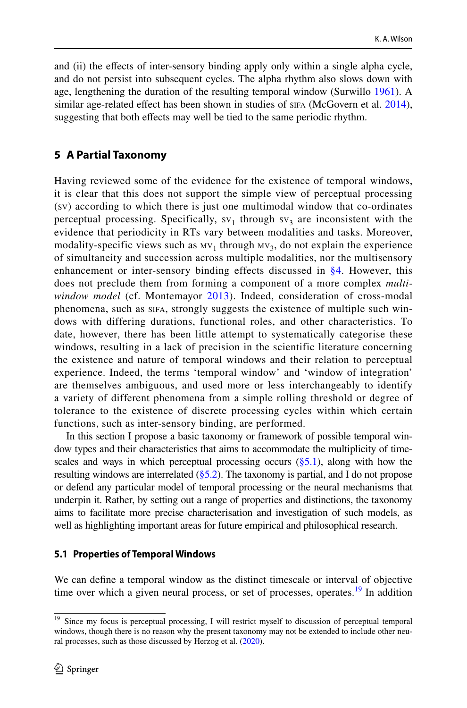and (ii) the efects of inter-sensory binding apply only within a single alpha cycle, and do not persist into subsequent cycles. The alpha rhythm also slows down with age, lengthening the duration of the resulting temporal window (Surwillo [1961](#page-21-17)). A similar age-related effect has been shown in studies of sifa (McGovern et al. [2014\)](#page-20-23), suggesting that both effects may well be tied to the same periodic rhythm.

## <span id="page-11-0"></span>**5 A Partial Taxonomy**

Having reviewed some of the evidence for the existence of temporal windows, it is clear that this does not support the simple view of perceptual processing (sv) according to which there is just one multimodal window that co-ordinates perceptual processing. Specifically,  $sv_1$  through  $sv_3$  are inconsistent with the evidence that periodicity in RTs vary between modalities and tasks. Moreover, modality-specific views such as  $W_1$  through  $W_3$ , do not explain the experience of simultaneity and succession across multiple modalities, nor the multisensory enhancement or inter-sensory binding effects discussed in  $\S 4$ . However, this does not preclude them from forming a component of a more complex *multiwindow model* (cf. Montemayor [2013\)](#page-20-0). Indeed, consideration of cross-modal phenomena, such as sifa, strongly suggests the existence of multiple such windows with differing durations, functional roles, and other characteristics. To date, however, there has been little attempt to systematically categorise these windows, resulting in a lack of precision in the scientific literature concerning the existence and nature of temporal windows and their relation to perceptual experience. Indeed, the terms 'temporal window' and 'window of integration' are themselves ambiguous, and used more or less interchangeably to identify a variety of different phenomena from a simple rolling threshold or degree of tolerance to the existence of discrete processing cycles within which certain functions, such as inter-sensory binding, are performed.

In this section I propose a basic taxonomy or framework of possible temporal window types and their characteristics that aims to accommodate the multiplicity of timescales and ways in which perceptual processing occurs  $(\S 5.1)$ , along with how the resulting windows are interrelated  $(\S$ 5.2). The taxonomy is partial, and I do not propose or defend any particular model of temporal processing or the neural mechanisms that underpin it. Rather, by setting out a range of properties and distinctions, the taxonomy aims to facilitate more precise characterisation and investigation of such models, as well as highlighting important areas for future empirical and philosophical research.

#### <span id="page-11-1"></span>**5.1 Properties of Temporal Windows**

We can defne a temporal window as the distinct timescale or interval of objective time over which a given neural process, or set of processes, operates.<sup>19</sup> In addition

<span id="page-11-2"></span><sup>&</sup>lt;sup>19</sup> Since my focus is perceptual processing, I will restrict myself to discussion of perceptual temporal windows, though there is no reason why the present taxonomy may not be extended to include other neural processes, such as those discussed by Herzog et al. [\(2020](#page-20-3)).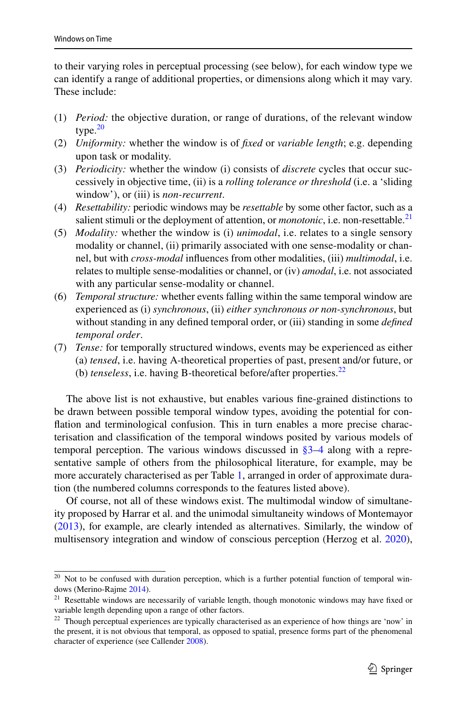to their varying roles in perceptual processing (see below), for each window type we can identify a range of additional properties, or dimensions along which it may vary. These include:

- (1) *Period:* the objective duration, or range of durations, of the relevant window type.<sup>[20](#page-12-0)</sup>
- (2) *Uniformity:* whether the window is of *fxed* or *variable length*; e.g. depending upon task or modality.
- (3) *Periodicity:* whether the window (i) consists of *discrete* cycles that occur successively in objective time, (ii) is a *rolling tolerance or threshold* (i.e. a 'sliding window'), or (iii) is *non-recurrent*.
- (4) *Resettability:* periodic windows may be *resettable* by some other factor, such as a salient stimuli or the deployment of attention, or *monotonic*, i.e. non-resettable.<sup>[21](#page-12-1)</sup>
- (5) *Modality:* whether the window is (i) *unimodal*, i.e. relates to a single sensory modality or channel, (ii) primarily associated with one sense-modality or channel, but with *cross-modal* infuences from other modalities, (iii) *multimodal*, i.e. relates to multiple sense-modalities or channel, or (iv) *amodal*, i.e. not associated with any particular sense-modality or channel.
- (6) *Temporal structure:* whether events falling within the same temporal window are experienced as (i) *synchronous*, (ii) *either synchronous or non-synchronous*, but without standing in any defned temporal order, or (iii) standing in some *defned temporal order*.
- (7) *Tense:* for temporally structured windows, events may be experienced as either (a) *tensed*, i.e. having A-theoretical properties of past, present and/or future, or (b) *tenseless*, i.e. having B-theoretical before/after properties.[22](#page-12-2)

The above list is not exhaustive, but enables various fne-grained distinctions to be drawn between possible temporal window types, avoiding the potential for conflation and terminological confusion. This in turn enables a more precise characterisation and classifcation of the temporal windows posited by various models of temporal perception. The various windows discussed in [§3–](#page-5-0)[4](#page-8-0) along with a representative sample of others from the philosophical literature, for example, may be more accurately characterised as per Table [1](#page-13-0), arranged in order of approximate duration (the numbered columns corresponds to the features listed above).

Of course, not all of these windows exist. The multimodal window of simultaneity proposed by Harrar et al. and the unimodal simultaneity windows of Montemayor [\(2013](#page-20-0)), for example, are clearly intended as alternatives. Similarly, the window of multisensory integration and window of conscious perception (Herzog et al. [2020\)](#page-20-3),

<span id="page-12-0"></span><sup>&</sup>lt;sup>20</sup> Not to be confused with duration perception, which is a further potential function of temporal windows (Merino-Rajme [2014](#page-20-8)).

<span id="page-12-1"></span><sup>&</sup>lt;sup>21</sup> Resettable windows are necessarily of variable length, though monotonic windows may have fixed or variable length depending upon a range of other factors.

<span id="page-12-2"></span><sup>&</sup>lt;sup>22</sup> Though perceptual experiences are typically characterised as an experience of how things are 'now' in the present, it is not obvious that temporal, as opposed to spatial, presence forms part of the phenomenal character of experience (see Callender [2008](#page-20-10)).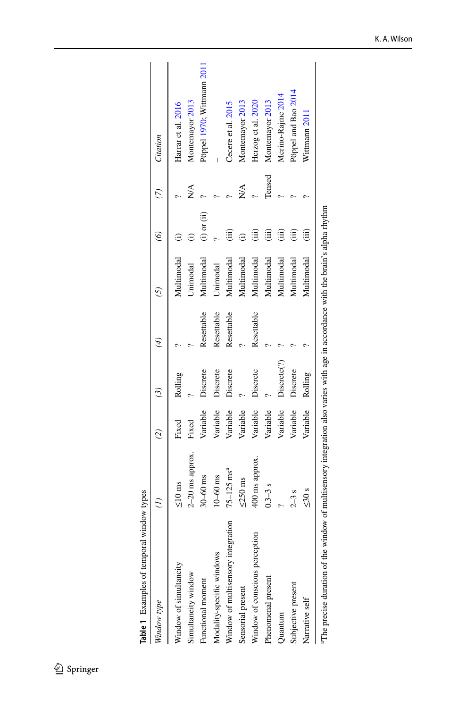<span id="page-13-0"></span>Table 1 Examples of temporal window types **Table 1** Examples of temporal window types

| Window type                        |                            | $\widehat{\mathcal{C}}$ | $\binom{3}{2}$          | $\overline{4}$ |            | $\widetilde{\circ}$ | $\tilde{C}$                   | Citation                   |
|------------------------------------|----------------------------|-------------------------|-------------------------|----------------|------------|---------------------|-------------------------------|----------------------------|
| Window of simultaneity             | $\leq 10$ ms               | Fixed                   | Rolling                 |                | Multimodal |                     |                               | Harrar et al. 2016         |
| Simultaneity window                | $2-20$ ms approx.          | Fixed                   |                         |                | Jnimodal   |                     | $\frac{\triangle}{\triangle}$ | Montemayor 2013            |
| Functional moment                  | $30 - 60$ ms               | Variable                | Discrete                | Resettable     | Multimodal | $(i)$ or $(ii)$     |                               | Pöppel 1970, Wittmann 2011 |
| Modality-specific windows          | $10-60$ ms                 | Variable                | Discrete                | Resettable     | Unimodal   |                     |                               |                            |
| Window of multisensory integration | $75 - 125$ ms <sup>a</sup> | Variable                | Discrete                | Resettable     | Multimodal |                     |                               | Cecere et al. 2015         |
| Sensorial present                  | $\leq 250$ ms              | Variable                |                         |                | Multimodal |                     | XX<br>Z                       | Montemayor 2013            |
| Window of conscious perception     | 400 ms approx.             | Variable                | Discrete                | Resettable     | Multimodal |                     |                               | Herzog et al. 2020         |
| Phenomenal present                 | $0.3 - 3s$                 | Variable                |                         |                | Multimodal |                     | Tensed                        | Montemayor 2013            |
| Quantum                            |                            | Variable                | Discrete <sup>(?)</sup> |                | Multimodal |                     |                               | Merino-Rajme 2014          |
| Subjective present                 | $2-3s$                     | Variable                | Discrete                |                | Multimodal |                     |                               | Pöppel and Bao 2014        |
| Narrative self                     | $\leq 30$ s                | Variable                | Rolling                 |                | Multimodal | (iii)               |                               | Wittmann 2011              |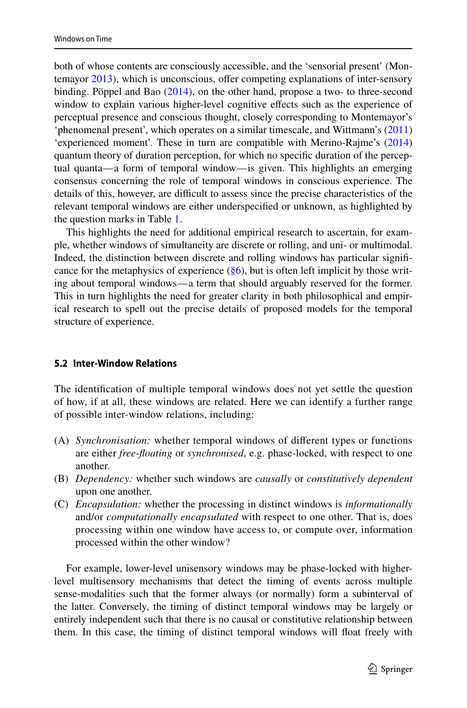both of whose contents are consciously accessible, and the 'sensorial present' (Montemayor [2013](#page-20-0)), which is unconscious, ofer competing explanations of inter-sensory binding. Pöppel and Bao ([2014\)](#page-21-6), on the other hand, propose a two- to three-second window to explain various higher-level cognitive effects such as the experience of perceptual presence and conscious thought, closely corresponding to Montemayor's 'phenomenal present', which operates on a similar timescale, and Wittmann's [\(2011](#page-21-18)) 'experienced moment'. These in turn are compatible with Merino-Rajme's ([2014\)](#page-20-8) quantum theory of duration perception, for which no specifc duration of the perceptual quanta—a form of temporal window—is given. This highlights an emerging consensus concerning the role of temporal windows in conscious experience. The details of this, however, are difficult to assess since the precise characteristics of the relevant temporal windows are either underspecifed or unknown, as highlighted by the question marks in Table [1](#page-13-0).

This highlights the need for additional empirical research to ascertain, for example, whether windows of simultaneity are discrete or rolling, and uni- or multimodal. Indeed, the distinction between discrete and rolling windows has particular signifcance for the metaphysics of experience  $(\S6)$ , but is often left implicit by those writing about temporal windows—a term that should arguably reserved for the former. This in turn highlights the need for greater clarity in both philosophical and empirical research to spell out the precise details of proposed models for the temporal structure of experience.

### <span id="page-14-0"></span>**5.2 Inter‑Window Relations**

The identifcation of multiple temporal windows does not yet settle the question of how, if at all, these windows are related. Here we can identify a further range of possible inter-window relations, including:

- (A) *Synchronisation:* whether temporal windows of diferent types or functions are either *free-foating* or *synchronised*, e.g. phase-locked, with respect to one another.
- (B) *Dependency:* whether such windows are *causally* or *constitutively dependent* upon one another.
- (C) *Encapsulation:* whether the processing in distinct windows is *informationally* and/or *computationally encapsulated* with respect to one other. That is, does processing within one window have access to, or compute over, information processed within the other window?

For example, lower-level unisensory windows may be phase-locked with higherlevel multisensory mechanisms that detect the timing of events across multiple sense-modalities such that the former always (or normally) form a subinterval of the latter. Conversely, the timing of distinct temporal windows may be largely or entirely independent such that there is no causal or constitutive relationship between them. In this case, the timing of distinct temporal windows will foat freely with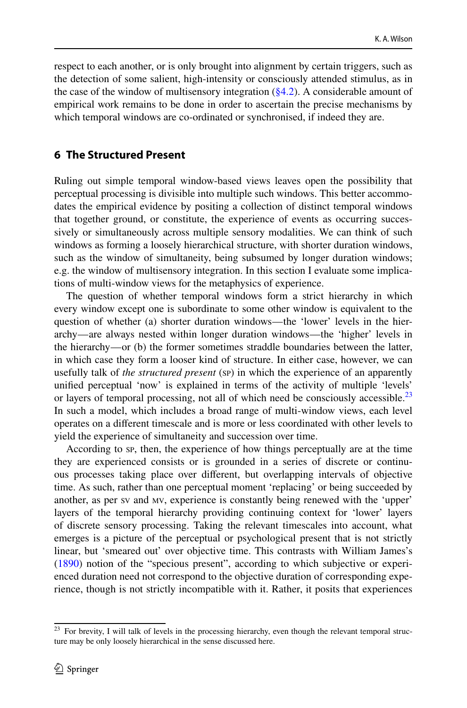respect to each another, or is only brought into alignment by certain triggers, such as the detection of some salient, high-intensity or consciously attended stimulus, as in the case of the window of multisensory integration  $(\S 4.2)$ . A considerable amount of empirical work remains to be done in order to ascertain the precise mechanisms by which temporal windows are co-ordinated or synchronised, if indeed they are.

## <span id="page-15-0"></span>**6 The Structured Present**

Ruling out simple temporal window-based views leaves open the possibility that perceptual processing is divisible into multiple such windows. This better accommodates the empirical evidence by positing a collection of distinct temporal windows that together ground, or constitute, the experience of events as occurring successively or simultaneously across multiple sensory modalities. We can think of such windows as forming a loosely hierarchical structure, with shorter duration windows, such as the window of simultaneity, being subsumed by longer duration windows; e.g. the window of multisensory integration. In this section I evaluate some implications of multi-window views for the metaphysics of experience.

The question of whether temporal windows form a strict hierarchy in which every window except one is subordinate to some other window is equivalent to the question of whether (a) shorter duration windows—the 'lower' levels in the hierarchy—are always nested within longer duration windows—the 'higher' levels in the hierarchy—or (b) the former sometimes straddle boundaries between the latter, in which case they form a looser kind of structure. In either case, however, we can usefully talk of *the structured present* (sp) in which the experience of an apparently unifed perceptual 'now' is explained in terms of the activity of multiple 'levels' or layers of temporal processing, not all of which need be consciously accessible.<sup>[23](#page-15-1)</sup> In such a model, which includes a broad range of multi-window views, each level operates on a diferent timescale and is more or less coordinated with other levels to yield the experience of simultaneity and succession over time.

According to sp, then, the experience of how things perceptually are at the time they are experienced consists or is grounded in a series of discrete or continuous processes taking place over diferent, but overlapping intervals of objective time. As such, rather than one perceptual moment 'replacing' or being succeeded by another, as per sv and mv, experience is constantly being renewed with the 'upper' layers of the temporal hierarchy providing continuing context for 'lower' layers of discrete sensory processing. Taking the relevant timescales into account, what emerges is a picture of the perceptual or psychological present that is not strictly linear, but 'smeared out' over objective time. This contrasts with William James's [\(1890](#page-20-13)) notion of the "specious present", according to which subjective or experienced duration need not correspond to the objective duration of corresponding experience, though is not strictly incompatible with it. Rather, it posits that experiences

<span id="page-15-1"></span><sup>&</sup>lt;sup>23</sup> For brevity, I will talk of levels in the processing hierarchy, even though the relevant temporal structure may be only loosely hierarchical in the sense discussed here.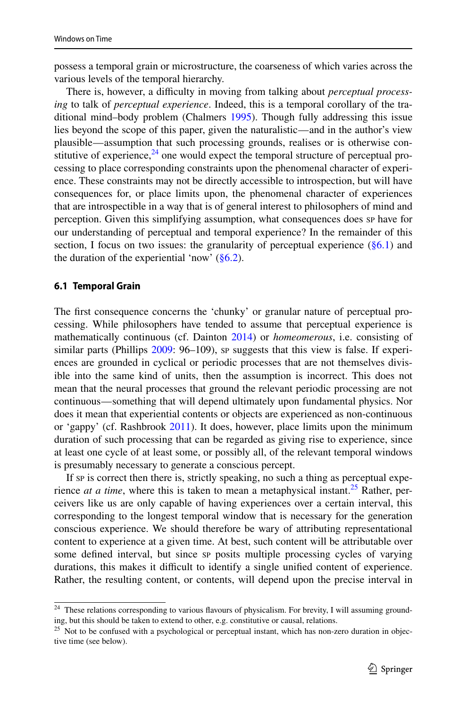possess a temporal grain or microstructure, the coarseness of which varies across the various levels of the temporal hierarchy.

There is, however, a difficulty in moving from talking about *perceptual processing* to talk of *perceptual experience*. Indeed, this is a temporal corollary of the traditional mind–body problem (Chalmers [1995\)](#page-20-24). Though fully addressing this issue lies beyond the scope of this paper, given the naturalistic—and in the author's view plausible—assumption that such processing grounds, realises or is otherwise constitutive of experience, $24$  one would expect the temporal structure of perceptual processing to place corresponding constraints upon the phenomenal character of experience. These constraints may not be directly accessible to introspection, but will have consequences for, or place limits upon, the phenomenal character of experiences that are introspectible in a way that is of general interest to philosophers of mind and perception. Given this simplifying assumption, what consequences does sp have for our understanding of perceptual and temporal experience? In the remainder of this section, I focus on two issues: the granularity of perceptual experience  $(\S6.1)$  and the duration of the experiential 'now'  $(\S6.2)$ .

### <span id="page-16-1"></span>**6.1 Temporal Grain**

The first consequence concerns the 'chunky' or granular nature of perceptual processing. While philosophers have tended to assume that perceptual experience is mathematically continuous (cf. Dainton [2014\)](#page-20-12) or *homeomerous*, i.e. consisting of similar parts (Phillips [2009:](#page-21-19) 96–109), sp suggests that this view is false. If experiences are grounded in cyclical or periodic processes that are not themselves divisible into the same kind of units, then the assumption is incorrect. This does not mean that the neural processes that ground the relevant periodic processing are not continuous—something that will depend ultimately upon fundamental physics. Nor does it mean that experiential contents or objects are experienced as non-continuous or 'gappy' (cf. Rashbrook [2011\)](#page-21-20). It does, however, place limits upon the minimum duration of such processing that can be regarded as giving rise to experience, since at least one cycle of at least some, or possibly all, of the relevant temporal windows is presumably necessary to generate a conscious percept.

If sp is correct then there is, strictly speaking, no such a thing as perceptual experience *at a time*, where this is taken to mean a metaphysical instant.<sup>[25](#page-16-2)</sup> Rather, perceivers like us are only capable of having experiences over a certain interval, this corresponding to the longest temporal window that is necessary for the generation conscious experience. We should therefore be wary of attributing representational content to experience at a given time. At best, such content will be attributable over some defned interval, but since sp posits multiple processing cycles of varying durations, this makes it difficult to identify a single unified content of experience. Rather, the resulting content, or contents, will depend upon the precise interval in

<span id="page-16-0"></span><sup>&</sup>lt;sup>24</sup> These relations corresponding to various flavours of physicalism. For brevity, I will assuming grounding, but this should be taken to extend to other, e.g. constitutive or causal, relations.

<span id="page-16-2"></span><sup>&</sup>lt;sup>25</sup> Not to be confused with a psychological or perceptual instant, which has non-zero duration in objective time (see below).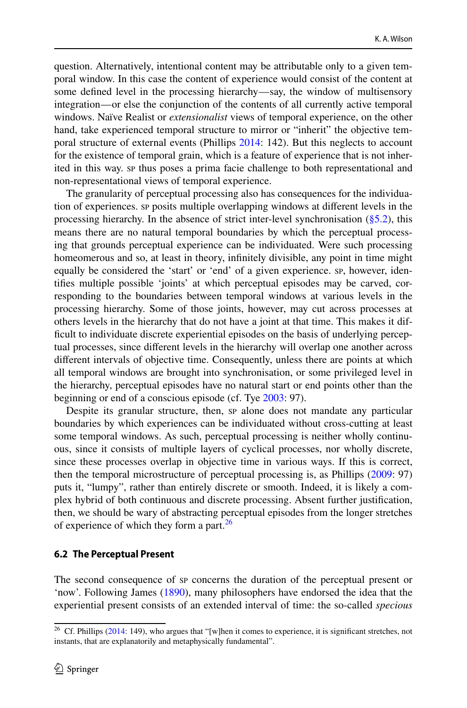question. Alternatively, intentional content may be attributable only to a given temporal window. In this case the content of experience would consist of the content at some defned level in the processing hierarchy—say, the window of multisensory integration—or else the conjunction of the contents of all currently active temporal windows. Naïve Realist or *extensionalist* views of temporal experience, on the other hand, take experienced temporal structure to mirror or "inherit" the objective temporal structure of external events (Phillips [2014](#page-21-11): 142). But this neglects to account for the existence of temporal grain, which is a feature of experience that is not inherited in this way. sp thus poses a prima facie challenge to both representational and non-representational views of temporal experience.

The granularity of perceptual processing also has consequences for the individuation of experiences. sp posits multiple overlapping windows at diferent levels in the processing hierarchy. In the absence of strict inter-level synchronisation  $(\S 5.2)$ , this means there are no natural temporal boundaries by which the perceptual processing that grounds perceptual experience can be individuated. Were such processing homeomerous and so, at least in theory, infnitely divisible, any point in time might equally be considered the 'start' or 'end' of a given experience. sp, however, identifes multiple possible 'joints' at which perceptual episodes may be carved, corresponding to the boundaries between temporal windows at various levels in the processing hierarchy. Some of those joints, however, may cut across processes at others levels in the hierarchy that do not have a joint at that time. This makes it diffcult to individuate discrete experiential episodes on the basis of underlying perceptual processes, since diferent levels in the hierarchy will overlap one another across diferent intervals of objective time. Consequently, unless there are points at which all temporal windows are brought into synchronisation, or some privileged level in the hierarchy, perceptual episodes have no natural start or end points other than the beginning or end of a conscious episode (cf. Tye [2003](#page-21-21): 97).

Despite its granular structure, then, sp alone does not mandate any particular boundaries by which experiences can be individuated without cross-cutting at least some temporal windows. As such, perceptual processing is neither wholly continuous, since it consists of multiple layers of cyclical processes, nor wholly discrete, since these processes overlap in objective time in various ways. If this is correct, then the temporal microstructure of perceptual processing is, as Phillips [\(2009](#page-21-19): 97) puts it, "lumpy", rather than entirely discrete or smooth. Indeed, it is likely a complex hybrid of both continuous and discrete processing. Absent further justifcation, then, we should be wary of abstracting perceptual episodes from the longer stretches of experience of which they form a part.<sup>[26](#page-17-1)</sup>

#### <span id="page-17-0"></span>**6.2 The Perceptual Present**

The second consequence of sp concerns the duration of the perceptual present or 'now'. Following James [\(1890](#page-20-13)), many philosophers have endorsed the idea that the experiential present consists of an extended interval of time: the so-called *specious* 

<span id="page-17-1"></span><sup>&</sup>lt;sup>26</sup> Cf. Phillips ([2014:](#page-21-11) 149), who argues that "[w]hen it comes to experience, it is significant stretches, not instants, that are explanatorily and metaphysically fundamental".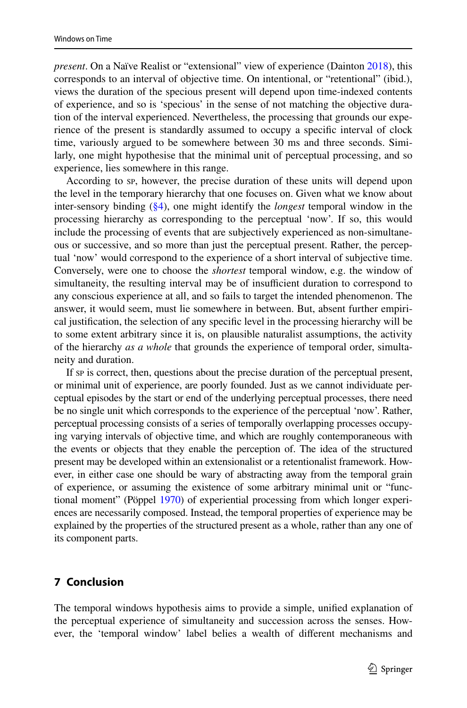*present*. On a Naïve Realist or "extensional" view of experience (Dainton [2018\)](#page-20-9), this corresponds to an interval of objective time. On intentional, or "retentional" (ibid.), views the duration of the specious present will depend upon time-indexed contents of experience, and so is 'specious' in the sense of not matching the objective duration of the interval experienced. Nevertheless, the processing that grounds our experience of the present is standardly assumed to occupy a specifc interval of clock time, variously argued to be somewhere between 30 ms and three seconds. Similarly, one might hypothesise that the minimal unit of perceptual processing, and so experience, lies somewhere in this range.

According to sp, however, the precise duration of these units will depend upon the level in the temporary hierarchy that one focuses on. Given what we know about inter-sensory binding ([§4\)](#page-8-0), one might identify the *longest* temporal window in the processing hierarchy as corresponding to the perceptual 'now'. If so, this would include the processing of events that are subjectively experienced as non-simultaneous or successive, and so more than just the perceptual present. Rather, the perceptual 'now' would correspond to the experience of a short interval of subjective time. Conversely, were one to choose the *shortest* temporal window, e.g. the window of simultaneity, the resulting interval may be of insufficient duration to correspond to any conscious experience at all, and so fails to target the intended phenomenon. The answer, it would seem, must lie somewhere in between. But, absent further empirical justifcation, the selection of any specifc level in the processing hierarchy will be to some extent arbitrary since it is, on plausible naturalist assumptions, the activity of the hierarchy *as a whole* that grounds the experience of temporal order, simultaneity and duration.

If sp is correct, then, questions about the precise duration of the perceptual present, or minimal unit of experience, are poorly founded. Just as we cannot individuate perceptual episodes by the start or end of the underlying perceptual processes, there need be no single unit which corresponds to the experience of the perceptual 'now'. Rather, perceptual processing consists of a series of temporally overlapping processes occupying varying intervals of objective time, and which are roughly contemporaneous with the events or objects that they enable the perception of. The idea of the structured present may be developed within an extensionalist or a retentionalist framework. However, in either case one should be wary of abstracting away from the temporal grain of experience, or assuming the existence of some arbitrary minimal unit or "functional moment" (Pöppel [1970\)](#page-21-1) of experiential processing from which longer experiences are necessarily composed. Instead, the temporal properties of experience may be explained by the properties of the structured present as a whole, rather than any one of its component parts.

# **7 Conclusion**

The temporal windows hypothesis aims to provide a simple, unifed explanation of the perceptual experience of simultaneity and succession across the senses. However, the 'temporal window' label belies a wealth of diferent mechanisms and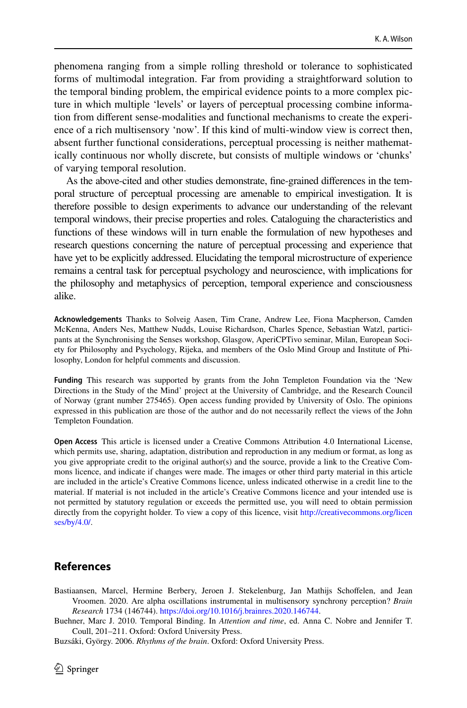phenomena ranging from a simple rolling threshold or tolerance to sophisticated forms of multimodal integration. Far from providing a straightforward solution to the temporal binding problem, the empirical evidence points to a more complex picture in which multiple 'levels' or layers of perceptual processing combine information from diferent sense-modalities and functional mechanisms to create the experience of a rich multisensory 'now'. If this kind of multi-window view is correct then, absent further functional considerations, perceptual processing is neither mathematically continuous nor wholly discrete, but consists of multiple windows or 'chunks' of varying temporal resolution.

As the above-cited and other studies demonstrate, fne-grained diferences in the temporal structure of perceptual processing are amenable to empirical investigation. It is therefore possible to design experiments to advance our understanding of the relevant temporal windows, their precise properties and roles. Cataloguing the characteristics and functions of these windows will in turn enable the formulation of new hypotheses and research questions concerning the nature of perceptual processing and experience that have yet to be explicitly addressed. Elucidating the temporal microstructure of experience remains a central task for perceptual psychology and neuroscience, with implications for the philosophy and metaphysics of perception, temporal experience and consciousness alike.

**Acknowledgements** Thanks to Solveig Aasen, Tim Crane, Andrew Lee, Fiona Macpherson, Camden McKenna, Anders Nes, Matthew Nudds, Louise Richardson, Charles Spence, Sebastian Watzl, participants at the Synchronising the Senses workshop, Glasgow, AperiCPTivo seminar, Milan, European Society for Philosophy and Psychology, Rijeka, and members of the Oslo Mind Group and Institute of Philosophy, London for helpful comments and discussion.

**Funding** This research was supported by grants from the John Templeton Foundation via the 'New Directions in the Study of the Mind' project at the University of Cambridge, and the Research Council of Norway (grant number 275465). Open access funding provided by University of Oslo. The opinions expressed in this publication are those of the author and do not necessarily refect the views of the John Templeton Foundation.

**Open Access** This article is licensed under a Creative Commons Attribution 4.0 International License, which permits use, sharing, adaptation, distribution and reproduction in any medium or format, as long as you give appropriate credit to the original author(s) and the source, provide a link to the Creative Commons licence, and indicate if changes were made. The images or other third party material in this article are included in the article's Creative Commons licence, unless indicated otherwise in a credit line to the material. If material is not included in the article's Creative Commons licence and your intended use is not permitted by statutory regulation or exceeds the permitted use, you will need to obtain permission directly from the copyright holder. To view a copy of this licence, visit [http://creativecommons.org/licen](http://creativecommons.org/licenses/by/4.0/) [ses/by/4.0/](http://creativecommons.org/licenses/by/4.0/).

# **References**

<span id="page-19-1"></span>Bastiaansen, Marcel, Hermine Berbery, Jeroen J. Stekelenburg, Jan Mathijs Schofelen, and Jean Vroomen. 2020. Are alpha oscillations instrumental in multisensory synchrony perception? *Brain Research* 1734 (146744). [https://doi.org/10.1016/j.brainres.2020.146744.](https://doi.org/10.1016/j.brainres.2020.146744)

<span id="page-19-0"></span>Buehner, Marc J. 2010. Temporal Binding. In *Attention and time*, ed. Anna C. Nobre and Jennifer T. Coull, 201–211. Oxford: Oxford University Press.

<span id="page-19-2"></span>Buzsáki, György. 2006. *Rhythms of the brain*. Oxford: Oxford University Press.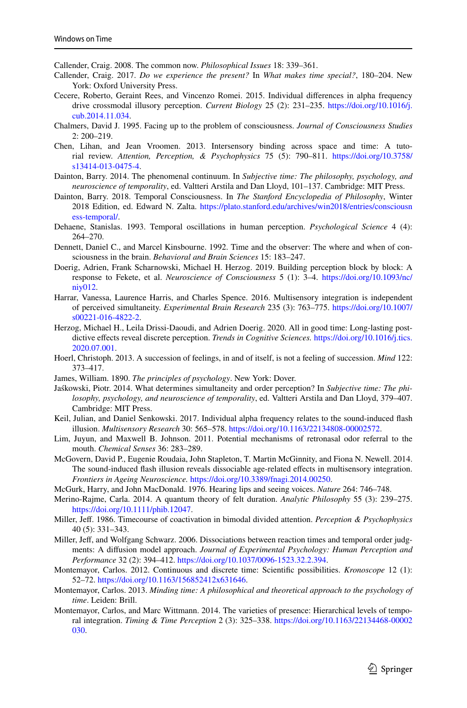<span id="page-20-10"></span>Callender, Craig. 2008. The common now. *Philosophical Issues* 18: 339–361.

- <span id="page-20-2"></span>Callender, Craig. 2017. *Do we experience the present?* In *What makes time special?*, 180–204. New York: Oxford University Press.
- <span id="page-20-7"></span>Cecere, Roberto, Geraint Rees, and Vincenzo Romei. 2015. Individual diferences in alpha frequency drive crossmodal illusory perception. *Current Biology* 25 (2): 231–235. [https://doi.org/10.1016/j.](https://doi.org/10.1016/j.cub.2014.11.034) [cub.2014.11.034.](https://doi.org/10.1016/j.cub.2014.11.034)
- <span id="page-20-24"></span>Chalmers, David J. 1995. Facing up to the problem of consciousness. *Journal of Consciousness Studies* 2: 200–219.
- <span id="page-20-5"></span>Chen, Lihan, and Jean Vroomen. 2013. Intersensory binding across space and time: A tutorial review. *Attention, Perception, & Psychophysics* 75 (5): 790–811. [https://doi.org/10.3758/](https://doi.org/10.3758/s13414-013-0475-4) [s13414-013-0475-4](https://doi.org/10.3758/s13414-013-0475-4).
- <span id="page-20-12"></span>Dainton, Barry. 2014. The phenomenal continuum. In *Subjective time: The philosophy, psychology, and neuroscience of temporality*, ed. Valtteri Arstila and Dan Lloyd, 101–137. Cambridge: MIT Press.
- <span id="page-20-9"></span>Dainton, Barry. 2018. Temporal Consciousness. In *The Stanford Encyclopedia of Philosophy*, Winter 2018 Edition, ed. Edward N. Zalta. [https://plato.stanford.edu/archives/win2018/entries/consciousn](https://plato.stanford.edu/archives/win2018/entries/consciousness-temporal/) [ess-temporal/](https://plato.stanford.edu/archives/win2018/entries/consciousness-temporal/).
- <span id="page-20-15"></span>Dehaene, Stanislas. 1993. Temporal oscillations in human perception. *Psychological Science* 4 (4): 264–270.
- <span id="page-20-20"></span>Dennett, Daniel C., and Marcel Kinsbourne. 1992. Time and the observer: The where and when of consciousness in the brain. *Behavioral and Brain Sciences* 15: 183–247.
- <span id="page-20-19"></span>Doerig, Adrien, Frank Scharnowski, Michael H. Herzog. 2019. Building perception block by block: A response to Fekete, et al. *Neuroscience of Consciousness* 5 (1): 3–4. [https://doi.org/10.1093/nc/](https://doi.org/10.1093/nc/niy012) [niy012](https://doi.org/10.1093/nc/niy012).
- <span id="page-20-4"></span>Harrar, Vanessa, Laurence Harris, and Charles Spence. 2016. Multisensory integration is independent of perceived simultaneity. *Experimental Brain Research* 235 (3): 763–775. [https://doi.org/10.1007/](https://doi.org/10.1007/s00221-016-4822-2) [s00221-016-4822-2](https://doi.org/10.1007/s00221-016-4822-2).
- <span id="page-20-3"></span>Herzog, Michael H., Leila Drissi-Daoudi, and Adrien Doerig. 2020. All in good time: Long-lasting postdictive efects reveal discrete perception. *Trends in Cognitive Sciences.* [https://doi.org/10.1016/j.tics.](https://doi.org/10.1016/j.tics.2020.07.001) [2020.07.001](https://doi.org/10.1016/j.tics.2020.07.001).
- <span id="page-20-14"></span>Hoerl, Christoph. 2013. A succession of feelings, in and of itself, is not a feeling of succession. *Mind* 122: 373–417.
- <span id="page-20-13"></span>James, William. 1890. *The principles of psychology*. New York: Dover.
- <span id="page-20-16"></span>Jaśkowski, Piotr. 2014. What determines simultaneity and order perception? In *Subjective time: The philosophy, psychology, and neuroscience of temporality*, ed. Valtteri Arstila and Dan Lloyd, 379–407. Cambridge: MIT Press.
- <span id="page-20-22"></span>Keil, Julian, and Daniel Senkowski. 2017. Individual alpha frequency relates to the sound-induced fash illusion. *Multisensory Research* 30: 565–578. [https://doi.org/10.1163/22134808-00002572.](https://doi.org/10.1163/22134808-00002572)
- <span id="page-20-21"></span>Lim, Juyun, and Maxwell B. Johnson. 2011. Potential mechanisms of retronasal odor referral to the mouth. *Chemical Senses* 36: 283–289.
- <span id="page-20-23"></span>McGovern, David P., Eugenie Roudaia, John Stapleton, T. Martin McGinnity, and Fiona N. Newell. 2014. The sound-induced fash illusion reveals dissociable age-related efects in multisensory integration. *Frontiers in Ageing Neuroscience.* [https://doi.org/10.3389/fnagi.2014.00250.](https://doi.org/10.3389/fnagi.2014.00250)
- <span id="page-20-6"></span>McGurk, Harry, and John MacDonald. 1976. Hearing lips and seeing voices. *Nature* 264: 746–748.
- <span id="page-20-8"></span>Merino-Rajme, Carla. 2014. A quantum theory of felt duration. *Analytic Philosophy* 55 (3): 239–275. [https://doi.org/10.1111/phib.12047.](https://doi.org/10.1111/phib.12047)
- <span id="page-20-17"></span>Miller, Jef. 1986. Timecourse of coactivation in bimodal divided attention. *Perception & Psychophysics* 40 (5): 331–343.
- <span id="page-20-18"></span>Miller, Jeff, and Wolfgang Schwarz. 2006. Dissociations between reaction times and temporal order judgments: A difusion model approach. *Journal of Experimental Psychology: Human Perception and Performance* 32 (2): 394–412.<https://doi.org/10.1037/0096-1523.32.2.394>.
- <span id="page-20-11"></span>Montemayor, Carlos. 2012. Continuous and discrete time: Scientifc possibilities. *Kronoscope* 12 (1): 52–72.<https://doi.org/10.1163/156852412x631646>.
- <span id="page-20-0"></span>Montemayor, Carlos. 2013. *Minding time: A philosophical and theoretical approach to the psychology of time*. Leiden: Brill.
- <span id="page-20-1"></span>Montemayor, Carlos, and Marc Wittmann. 2014. The varieties of presence: Hierarchical levels of temporal integration. *Timing & Time Perception* 2 (3): 325–338. [https://doi.org/10.1163/22134468-00002](https://doi.org/10.1163/22134468-00002030) [030](https://doi.org/10.1163/22134468-00002030).